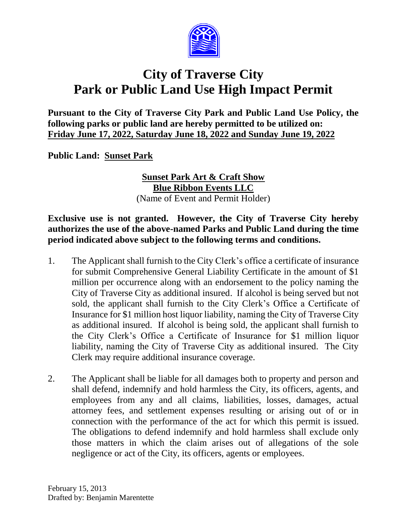

# **City of Traverse City Park or Public Land Use High Impact Permit**

**Pursuant to the City of Traverse City Park and Public Land Use Policy, the following parks or public land are hereby permitted to be utilized on: Friday June 17, 2022, Saturday June 18, 2022 and Sunday June 19, 2022**

**Public Land: Sunset Park**

**Sunset Park Art & Craft Show Blue Ribbon Events LLC** (Name of Event and Permit Holder)

#### **Exclusive use is not granted. However, the City of Traverse City hereby authorizes the use of the above-named Parks and Public Land during the time period indicated above subject to the following terms and conditions.**

- 1. The Applicant shall furnish to the City Clerk's office a certificate of insurance for submit Comprehensive General Liability Certificate in the amount of \$1 million per occurrence along with an endorsement to the policy naming the City of Traverse City as additional insured. If alcohol is being served but not sold, the applicant shall furnish to the City Clerk's Office a Certificate of Insurance for \$1 million host liquor liability, naming the City of Traverse City as additional insured. If alcohol is being sold, the applicant shall furnish to the City Clerk's Office a Certificate of Insurance for \$1 million liquor liability, naming the City of Traverse City as additional insured. The City Clerk may require additional insurance coverage.
- 2. The Applicant shall be liable for all damages both to property and person and shall defend, indemnify and hold harmless the City, its officers, agents, and employees from any and all claims, liabilities, losses, damages, actual attorney fees, and settlement expenses resulting or arising out of or in connection with the performance of the act for which this permit is issued. The obligations to defend indemnify and hold harmless shall exclude only those matters in which the claim arises out of allegations of the sole negligence or act of the City, its officers, agents or employees.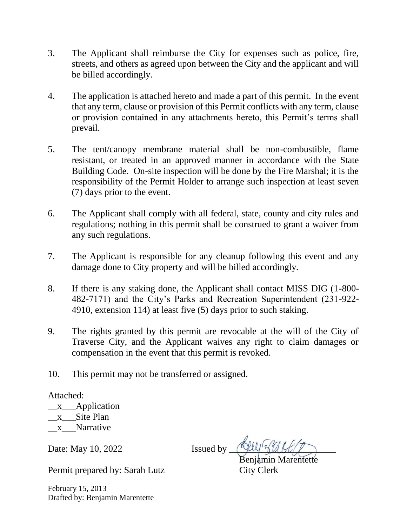- 3. The Applicant shall reimburse the City for expenses such as police, fire, streets, and others as agreed upon between the City and the applicant and will be billed accordingly.
- 4. The application is attached hereto and made a part of this permit. In the event that any term, clause or provision of this Permit conflicts with any term, clause or provision contained in any attachments hereto, this Permit's terms shall prevail.
- 5. The tent/canopy membrane material shall be non-combustible, flame resistant, or treated in an approved manner in accordance with the State Building Code. On-site inspection will be done by the Fire Marshal; it is the responsibility of the Permit Holder to arrange such inspection at least seven (7) days prior to the event.
- 6. The Applicant shall comply with all federal, state, county and city rules and regulations; nothing in this permit shall be construed to grant a waiver from any such regulations.
- 7. The Applicant is responsible for any cleanup following this event and any damage done to City property and will be billed accordingly.
- 8. If there is any staking done, the Applicant shall contact MISS DIG (1-800- 482-7171) and the City's Parks and Recreation Superintendent (231-922- 4910, extension 114) at least five (5) days prior to such staking.
- 9. The rights granted by this permit are revocable at the will of the City of Traverse City, and the Applicant waives any right to claim damages or compensation in the event that this permit is revoked.
- 10. This permit may not be transferred or assigned.

Attached:

 $\overline{\phantom{a}}$   $\overline{\phantom{a}}$  Application \_x\_\_Site Plan x Narrative

Date: May 10, 2022 Issued by

Benjamin Marentette

Permit prepared by: Sarah Lutz City Clerk

February 15, 2013 Drafted by: Benjamin Marentette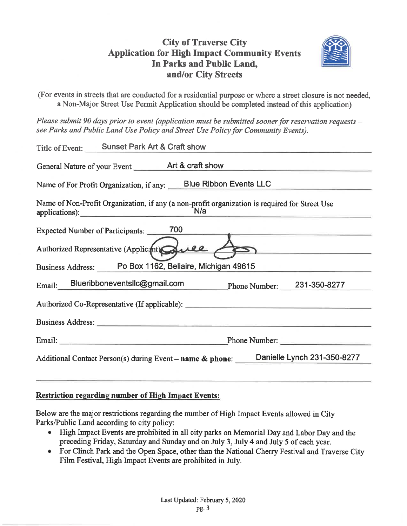# **City of Traverse City Application for High Impact Community Events** In Parks and Public Land, and/or City Streets



(For events in streets that are conducted for a residential purpose or where a street closure is not needed, a Non-Major Street Use Permit Application should be completed instead of this application)

Please submit 90 days prior to event (application must be submitted sooner for reservation requests – see Parks and Public Land Use Policy and Street Use Policy for Community Events).

| Title of Event: Sunset Park Art & Craft show                                                                                                                                                                                   |  |  |
|--------------------------------------------------------------------------------------------------------------------------------------------------------------------------------------------------------------------------------|--|--|
| General Nature of your Event <b>Art &amp; craft show</b>                                                                                                                                                                       |  |  |
| Name of For Profit Organization, if any: Blue Ribbon Events LLC                                                                                                                                                                |  |  |
| Name of Non-Profit Organization, if any (a non-profit organization is required for Street Use<br>applications): N/a                                                                                                            |  |  |
| Expected Number of Participants: 700                                                                                                                                                                                           |  |  |
| Authorized Representative (Applicant) Quel<br>$\sum$                                                                                                                                                                           |  |  |
| Business Address: Po Box 1162, Bellaire, Michigan 49615                                                                                                                                                                        |  |  |
| Email: Blueribboneventslc@gmail.com Phone Number: 231-350-8277                                                                                                                                                                 |  |  |
| Authorized Co-Representative (If applicable): ___________________________________                                                                                                                                              |  |  |
| Business Address: New York Contract on the Contract of the Contract of the Contract of the Contract of the Contract of the Contract of the Contract of the Contract of the Contract of the Contract of the Contract of the Con |  |  |
| Phone Number:                                                                                                                                                                                                                  |  |  |
| Additional Contact Person(s) during Event - name & phone: Danielle Lynch 231-350-8277                                                                                                                                          |  |  |

#### **Restriction regarding number of High Impact Events:**

Below are the major restrictions regarding the number of High Impact Events allowed in City Parks/Public Land according to city policy:

- High Impact Events are prohibited in all city parks on Memorial Day and Labor Day and the  $\bullet$ preceding Friday, Saturday and Sunday and on July 3, July 4 and July 5 of each year.
- For Clinch Park and the Open Space, other than the National Cherry Festival and Traverse City Film Festival, High Impact Events are prohibited in July.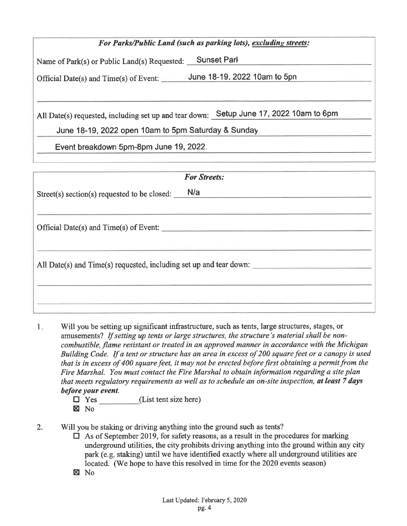| For Parks/Public Land (such as parking lots), excluding streets:                          |                              |  |
|-------------------------------------------------------------------------------------------|------------------------------|--|
| <b>Sunset Park</b><br>Name of Park(s) or Public Land(s) Requested:                        |                              |  |
| Official Date(s) and $Time(s)$ of Event:                                                  | June 18-19, 2022 10am to 5pn |  |
|                                                                                           |                              |  |
| Setup June 17, 2022 10am to 6pm<br>All Date(s) requested, including set up and tear down: |                              |  |
| June 18-19, 2022 open 10am to 5pm Saturday & Sunday                                       |                              |  |
| Event breakdown 5pm-8pm June 19, 2022.                                                    |                              |  |

| <b>For Streets:</b>                                                |  |  |
|--------------------------------------------------------------------|--|--|
| N/a<br>Street(s) section(s) requested to be closed:                |  |  |
|                                                                    |  |  |
| Official Date(s) and Time(s) of Event:                             |  |  |
| All Date(s) and Time(s) requested, including set up and tear down: |  |  |
|                                                                    |  |  |

- Will you be setting up significant infrastructure, such as tents, large structures, stages, or  $1<sub>x</sub>$ amusements? If setting up tents or large structures, the structure's material shall be noncombustible, flame resistant or treated in an approved manner in accordance with the Michigan Building Code. If a tent or structure has an area in excess of 200 square feet or a canopy is used that is in excess of 400 square feet, it may not be erected before first obtaining a permit from the Fire Marshal. You must contact the Fire Marshal to obtain information regarding a site plan that meets regulatory requirements as well as to schedule an on-site inspection, at least 7 days before your event.
	- $\Box$  Yes (List tent size here)  $\boxtimes$  No
- $2.$ Will you be staking or driving anything into the ground such as tents?
	- $\Box$  As of September 2019, for safety reasons, as a result in the procedures for marking underground utilities, the city prohibits driving anything into the ground within any city park (e.g. staking) until we have identified exactly where all underground utilities are located. (We hope to have this resolved in time for the 2020 events season)
	- $\boxtimes$  No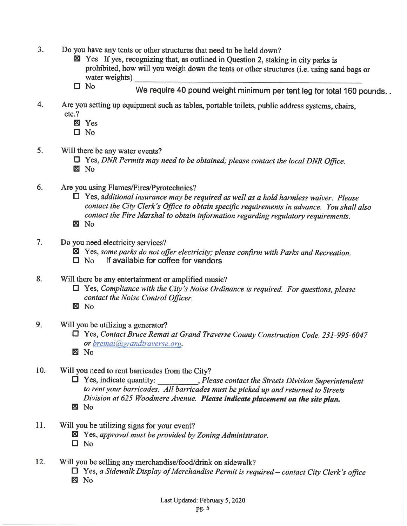- $3.$ Do you have any tents or other structures that need to be held down?
	- Yes If yes, recognizing that, as outlined in Question 2, staking in city parks is prohibited, how will you weigh down the tents or other structures (i.e. using sand bags or water weights)
	- $\square$  No We require 40 pound weight minimum per tent leg for total 160 pounds..
- $4.$ Are you setting up equipment such as tables, portable toilets, public address systems, chairs,  $etc.?$ 
	- **X** Yes
	- $\square$  No
- 5. Will there be any water events?
	- $\Box$  Yes, DNR Permits may need to be obtained; please contact the local DNR Office. X No
- 6. Are you using Flames/Fires/Pyrotechnics?
	- $\Box$  Yes, additional insurance may be required as well as a hold harmless waiver. Please contact the City Clerk's Office to obtain specific requirements in advance. You shall also contact the Fire Marshal to obtain information regarding regulatory requirements.  $\boxtimes$  No
- $7.$ Do you need electricity services?
	- ⊠ Yes, some parks do not offer electricity; please confirm with Parks and Recreation.
	- If available for coffee for vendors  $\square$  No
- 8. Will there be any entertainment or amplified music?
	- $\Box$  Yes, Compliance with the City's Noise Ordinance is required. For questions, please contact the Noise Control Officer.
	- $\boxtimes$  No
- $9<sub>z</sub>$ Will you be utilizing a generator?
	- T Yes, Contact Bruce Remai at Grand Traverse County Construction Code. 231-995-6047 or bremai@grandtraverse.org.
	- **X** No
- 10. Will you need to rent barricades from the City?
	- $\Box$  Yes, indicate quantity:  $P$  Please contact the Streets Division Superintendent to rent your barricades. All barricades must be picked up and returned to Streets Division at 625 Woodmere Avenue. Please indicate placement on the site plan.  $\boxtimes$  No
- 11. Will you be utilizing signs for your event?
	- $\boxtimes$  Yes, approval must be provided by Zoning Administrator.
	- $\square$  No
- 12. Will you be selling any merchandise/food/drink on sidewalk?
	- $\Box$  Yes, a Sidewalk Display of Merchandise Permit is required contact City Clerk's office
	- $\boxtimes$  No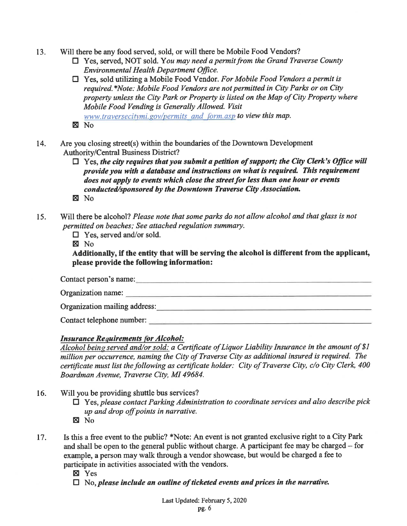- Will there be any food served, sold, or will there be Mobile Food Vendors? 13.
	- $\Box$  Yes, served, NOT sold. You may need a permit from the Grand Traverse County **Environmental Health Department Office.**
	- $\Box$  Yes, sold utilizing a Mobile Food Vendor. For Mobile Food Vendors a permit is required.\*Note: Mobile Food Vendors are not permitted in City Parks or on City property unless the City Park or Property is listed on the Map of City Property where Mobile Food Vending is Generally Allowed. Visit www.traversecitymi.gov/permits and form.asp to view this map.  $\n **N**$
- Are you closing street(s) within the boundaries of the Downtown Development 14. **Authority/Central Business District?** 
	- $\Box$  Yes, the city requires that you submit a petition of support; the City Clerk's Office will provide you with a database and instructions on what is required. This requirement does not apply to events which close the street for less than one hour or events conducted/sponsored by the Downtown Traverse City Association.
	- $\boxtimes$  No
- Will there be alcohol? Please note that some parks do not allow alcohol and that glass is not 15. permitted on beaches; See attached regulation summary.
	- $\Box$  Yes, served and/or sold.

 $\boxtimes$  No

Additionally, if the entity that will be serving the alcohol is different from the applicant, please provide the following information:

Contact person's name: Organization name: Organization mailing address: Note that the contract of the contract of the contract of the contract of the contract of the contract of the contract of the contract of the contract of the contract of the contract of the co Contact telephone number:

#### **Insurance Requirements for Alcohol:**

Alcohol being served and/or sold: a Certificate of Liquor Liability Insurance in the amount of \$1 million per occurrence, naming the City of Traverse City as additional insured is required. The certificate must list the following as certificate holder: City of Traverse City, c/o City Clerk, 400 Boardman Avenue, Traverse City, MI 49684.

- 16. Will you be providing shuttle bus services?
	- $\Box$  Yes, please contact Parking Administration to coordinate services and also describe pick up and drop off points in narrative. **図 No**
- Is this a free event to the public? \*Note: An event is not granted exclusive right to a City Park 17. and shall be open to the general public without charge. A participant fee may be charged – for example, a person may walk through a vendor showcase, but would be charged a fee to participate in activities associated with the vendors.
	- **区** Yes
	- $\Box$  No, please include an outline of ticketed events and prices in the narrative.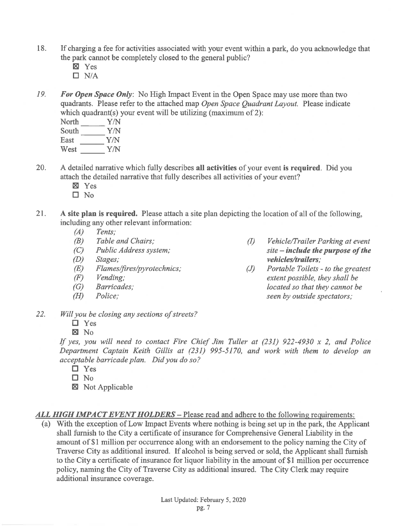- 18. If charging a fee for activities associated with your event within a park, do you acknowledge that the park cannot be completely closed to the general public?
	- $\boxtimes$  Yes
	- $\Box$  N/A
- 19. For Open Space Only: No High Impact Event in the Open Space may use more than two quadrants. Please refer to the attached map Open Space Ouadrant Lavout. Please indicate which quadrant(s) your event will be utilizing (maximum of 2):

| North | Y/N |
|-------|-----|
| South | Y/N |
| East  | Y/N |
| West  | Y/N |

- 20. A detailed narrative which fully describes all activities of your event is required. Did you attach the detailed narrative that fully describes all activities of your event?
	- **X** Yes
	- $\square$  No
- $21$ A site plan is required. Please attach a site plan depicting the location of all of the following, including any other relevant information:
	- $(A)$ Tents:
	- $(B)$ Table and Chairs:
	- Public Address system;  $(C)$
	- $(D)$ Stages;
	- Flames/fires/pyrotechnics;  $(E)$
	- Vending:  $(F)$
	- $(G)$ Barricades:
	- $(H)$ Police:
- Vehicle/Trailer Parking at event  $\langle I \rangle$  $site$  - include the purpose of the vehicles/trailers:
- Portable Toilets to the greatest  $(J)$ extent possible, they shall be located so that they cannot be seen by outside spectators;
- 22. Will you be closing any sections of streets?
	- $\Box$  Yes
	- $\boxtimes$  No

If yes, you will need to contact Fire Chief Jim Tuller at  $(231)$  922-4930 x 2, and Police Department Captain Keith Gillis at (231) 995-5170, and work with them to develop an acceptable barricade plan. Did you do so?

- $\Box$  Yes
- $\Box$  No
- Not Applicable

ALL HIGH IMPACT EVENT HOLDERS – Please read and adhere to the following requirements:

(a) With the exception of Low Impact Events where nothing is being set up in the park, the Applicant shall furnish to the City a certificate of insurance for Comprehensive General Liability in the amount of \$1 million per occurrence along with an endorsement to the policy naming the City of Traverse City as additional insured. If alcohol is being served or sold, the Applicant shall furnish to the City a certificate of insurance for liquor liability in the amount of \$1 million per occurrence policy, naming the City of Traverse City as additional insured. The City Clerk may require additional insurance coverage.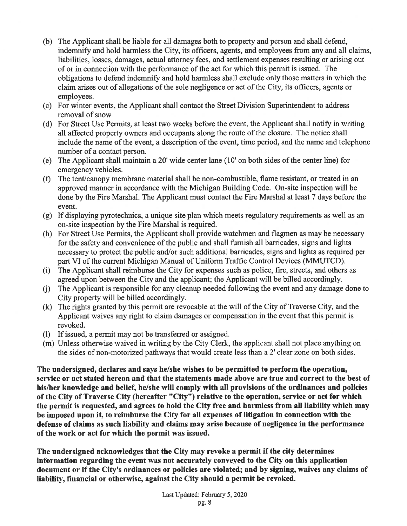- (b) The Applicant shall be liable for all damages both to property and person and shall defend, indemnify and hold harmless the City, its officers, agents, and employees from any and all claims, liabilities, losses, damages, actual attorney fees, and settlement expenses resulting or arising out of or in connection with the performance of the act for which this permit is issued. The obligations to defend indemnify and hold harmless shall exclude only those matters in which the claim arises out of allegations of the sole negligence or act of the City, its officers, agents or employees.
- (c) For winter events, the Applicant shall contact the Street Division Superintendent to address removal of snow
- (d) For Street Use Permits, at least two weeks before the event, the Applicant shall notify in writing all affected property owners and occupants along the route of the closure. The notice shall include the name of the event, a description of the event, time period, and the name and telephone number of a contact person.
- (e) The Applicant shall maintain a 20' wide center lane (10' on both sides of the center line) for emergency vehicles.
- The tent/canopy membrane material shall be non-combustible, flame resistant, or treated in an  $(f)$ approved manner in accordance with the Michigan Building Code. On-site inspection will be done by the Fire Marshal. The Applicant must contact the Fire Marshal at least 7 days before the event.
- (g) If displaying pyrotechnics, a unique site plan which meets regulatory requirements as well as an on-site inspection by the Fire Marshal is required.
- (h) For Street Use Permits, the Applicant shall provide watchmen and flagmen as may be necessary for the safety and convenience of the public and shall furnish all barricades, signs and lights necessary to protect the public and/or such additional barricades, signs and lights as required per part VI of the current Michigan Manual of Uniform Traffic Control Devices (MMUTCD).
- (i) The Applicant shall reimburse the City for expenses such as police, fire, streets, and others as agreed upon between the City and the applicant; the Applicant will be billed accordingly.
- The Applicant is responsible for any cleanup needed following the event and any damage done to  $(i)$ City property will be billed accordingly.
- (k) The rights granted by this permit are revocable at the will of the City of Traverse City, and the Applicant waives any right to claim damages or compensation in the event that this permit is revoked.
- (1) If issued, a permit may not be transferred or assigned.
- (m) Unless otherwise waived in writing by the City Clerk, the applicant shall not place anything on the sides of non-motorized pathways that would create less than a 2' clear zone on both sides.

The undersigned, declares and says he/she wishes to be permitted to perform the operation, service or act stated hereon and that the statements made above are true and correct to the best of his/her knowledge and belief, he/she will comply with all provisions of the ordinances and policies of the City of Traverse City (hereafter "City") relative to the operation, service or act for which the permit is requested, and agrees to hold the City free and harmless from all liability which may be imposed upon it, to reimburse the City for all expenses of litigation in connection with the defense of claims as such liability and claims may arise because of negligence in the performance of the work or act for which the permit was issued.

The undersigned acknowledges that the City may revoke a permit if the city determines information regarding the event was not accurately conveyed to the City on this application document or if the City's ordinances or policies are violated; and by signing, waives any claims of liability, financial or otherwise, against the City should a permit be revoked.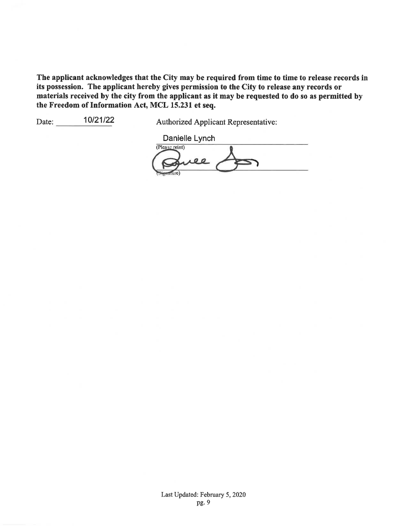The applicant acknowledges that the City may be required from time to time to release records in its possession. The applicant hereby gives permission to the City to release any records or materials received by the city from the applicant as it may be requested to do so as permitted by the Freedom of Information Act, MCL 15.231 et seq.

10/21/22 Date:

**Authorized Applicant Representative:** 

Danielle Lynch (Please print) e e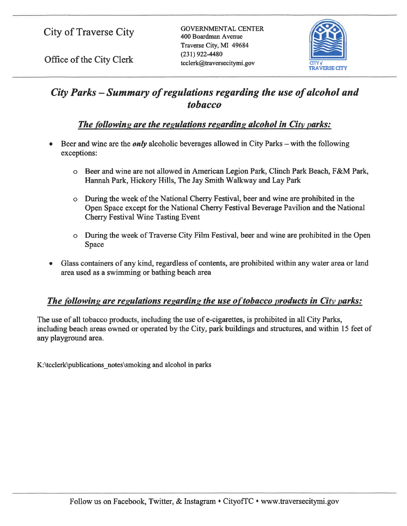Office of the City Clerk

**GOVERNMENTAL CENTER** 400 Boardman Avenue Traverse City, MI 49684  $(231)$  922-4480 tcclerk@traversecitymi.gov



# City Parks - Summary of regulations regarding the use of alcohol and *tobacco*

# The following are the regulations regarding alcohol in City parks:

- Beer and wine are the *only* alcoholic beverages allowed in City Parks with the following exceptions:
	- o Beer and wine are not allowed in American Legion Park, Clinch Park Beach, F&M Park, Hannah Park, Hickory Hills, The Jay Smith Walkway and Lay Park
	- During the week of the National Cherry Festival, beer and wine are prohibited in the Open Space except for the National Cherry Festival Beverage Pavilion and the National **Cherry Festival Wine Tasting Event**
	- o During the week of Traverse City Film Festival, beer and wine are prohibited in the Open Space
- Glass containers of any kind, regardless of contents, are prohibited within any water area or land area used as a swimming or bathing beach area

### The following are regulations regarding the use of tobacco products in City parks:

The use of all tobacco products, including the use of e-cigarettes, is prohibited in all City Parks, including beach areas owned or operated by the City, park buildings and structures, and within 15 feet of any playground area.

K:\tcclerk\publications\_notes\smoking and alcohol in parks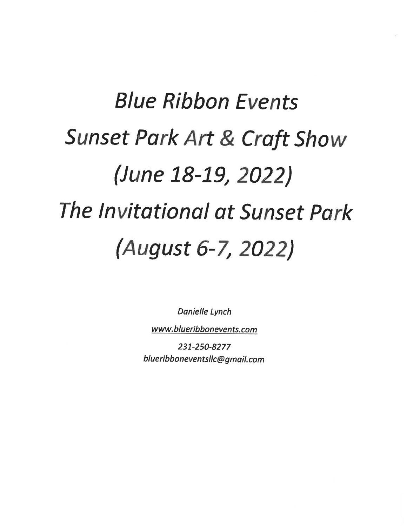# **Blue Ribbon Events Sunset Park Art & Craft Show** (June 18-19, 2022) The Invitational at Sunset Park (August 6-7, 2022)

**Danielle Lynch** 

www.blueribbonevents.com

231-250-8277 blueribboneventsllc@gmail.com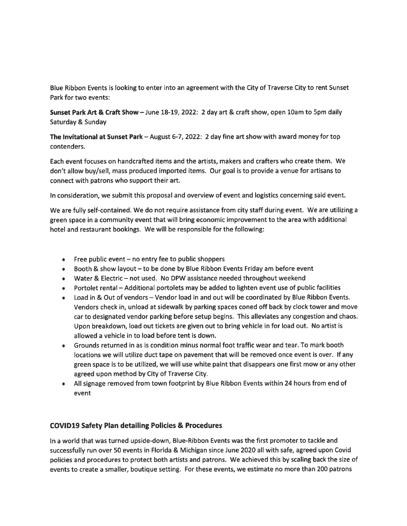Blue Ribbon Events is looking to enter into an agreement with the City of Traverse City to rent Sunset Park for two events:

Sunset Park Art & Craft Show - June 18-19, 2022: 2 day art & craft show, open 10am to 5pm daily Saturday & Sunday

The Invitational at Sunset Park - August 6-7, 2022: 2 day fine art show with award money for top contenders.

Each event focuses on handcrafted items and the artists, makers and crafters who create them. We don't allow buy/sell, mass produced imported items. Our goal is to provide a venue for artisans to connect with patrons who support their art.

In consideration, we submit this proposal and overview of event and logistics concerning said event.

We are fully self-contained. We do not require assistance from city staff during event. We are utilizing a green space in a community event that will bring economic improvement to the area with additional hotel and restaurant bookings. We will be responsible for the following:

- $\bullet$  Free public event no entry fee to public shoppers
- Booth & show layout to be done by Blue Ribbon Events Friday am before event
- Water & Electric not used. No DPW assistance needed throughout weekend
- Portolet rental Additional portolets may be added to lighten event use of public facilities  $\bullet$
- Load in & Out of vendors Vendor load in and out will be coordinated by Blue Ribbon Events.  $\bullet$ Vendors check in, unload at sidewalk by parking spaces coned off back by clock tower and move car to designated vendor parking before setup begins. This alleviates any congestion and chaos. Upon breakdown, load out tickets are given out to bring vehicle in for load out. No artist is allowed a vehicle in to load before tent is down.
- Grounds returned in as is condition minus normal foot traffic wear and tear. To mark booth locations we will utilize duct tape on pavement that will be removed once event is over. If any green space is to be utilized, we will use white paint that disappears one first mow or any other agreed upon method by City of Traverse City.
- All signage removed from town footprint by Blue Ribbon Events within 24 hours from end of event

#### **COVID19 Safety Plan detailing Policies & Procedures**

In a world that was turned upside-down, Blue-Ribbon Events was the first promoter to tackle and successfully run over 50 events in Florida & Michigan since June 2020 all with safe, agreed upon Covid policies and procedures to protect both artists and patrons. We achieved this by scaling back the size of events to create a smaller, boutique setting. For these events, we estimate no more than 200 patrons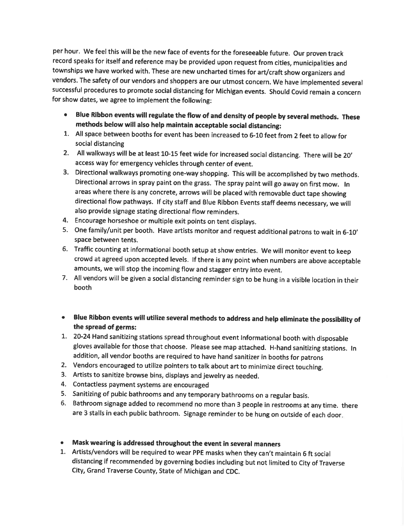per hour. We feel this will be the new face of events for the foreseeable future. Our proven track record speaks for itself and reference may be provided upon request from cities, municipalities and townships we have worked with. These are new uncharted times for art/craft show organizers and vendors. The safety of our vendors and shoppers are our utmost concern. We have implemented several successful procedures to promote social distancing for Michigan events. Should Covid remain a concern for show dates, we agree to implement the following:

- Blue Ribbon events will regulate the flow of and density of people by several methods. These methods below will also help maintain acceptable social distancing:
- 1. All space between booths for event has been increased to 6-10 feet from 2 feet to allow for social distancing
- 2. All walkways will be at least 10-15 feet wide for increased social distancing. There will be 20' access way for emergency vehicles through center of event.
- 3. Directional walkways promoting one-way shopping. This will be accomplished by two methods. Directional arrows in spray paint on the grass. The spray paint will go away on first mow. In areas where there is any concrete, arrows will be placed with removable duct tape showing directional flow pathways. If city staff and Blue Ribbon Events staff deems necessary, we will also provide signage stating directional flow reminders.
- 4. Encourage horseshoe or multiple exit points on tent displays.
- 5. One family/unit per booth. Have artists monitor and request additional patrons to wait in 6-10' space between tents.
- 6. Traffic counting at informational booth setup at show entries. We will monitor event to keep crowd at agreed upon accepted levels. If there is any point when numbers are above acceptable amounts, we will stop the incoming flow and stagger entry into event.
- 7. All vendors will be given a social distancing reminder sign to be hung in a visible location in their booth
- . Blue Ribbon events will utilize several methods to address and help eliminate the possibility of the spread of germs:
- 1. 20-24 Hand sanitizing stations spread throughout event Informational booth with disposable gloves available for those that choose. Please see map attached. H-hand sanitizing stations. In addition, all vendor booths are required to have hand sanitizer in booths for patrons
- 2. Vendors encouraged to utilize pointers to talk about art to minimize direct touching.
- 3. Artists to sanitize browse bins, displays and jewelry as needed.
- 4. Contactless payment systems are encouraged
- 5. Sanitizing of pubic bathrooms and any temporary bathrooms on a regular basis.
- 6. Bathroom signage added to recommend no more than 3 people in restrooms at any time. there are 3 stalls in each public bathroom. Signage reminder to be hung on outside of each door.

#### • Mask wearing is addressed throughout the event in several manners

1. Artists/vendors will be required to wear PPE masks when they can't maintain 6 ft social distancing if recommended by governing bodies including but not limited to City of Traverse City, Grand Traverse County, State of Michigan and CDC.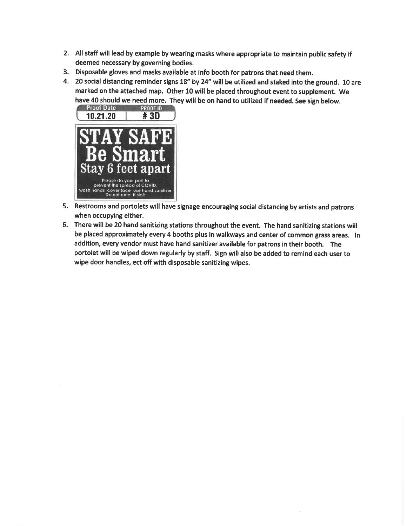- 2. All staff will lead by example by wearing masks where appropriate to maintain public safety if deemed necessary by governing bodies.
- 3. Disposable gloves and masks available at info booth for patrons that need them.
- 4. 20 social distancing reminder signs 18" by 24" will be utilized and staked into the ground. 10 are marked on the attached map. Other 10 will be placed throughout event to supplement. We have 40 should we need more. They will be on hand to utilized if needed. See sign below.



- 5. Restrooms and portolets will have signage encouraging social distancing by artists and patrons when occupying either.
- 6. There will be 20 hand sanitizing stations throughout the event. The hand sanitizing stations will be placed approximately every 4 booths plus in walkways and center of common grass areas. In addition, every vendor must have hand sanitizer available for patrons in their booth. The portolet will be wiped down regularly by staff. Sign will also be added to remind each user to wipe door handles, ect off with disposable sanitizing wipes.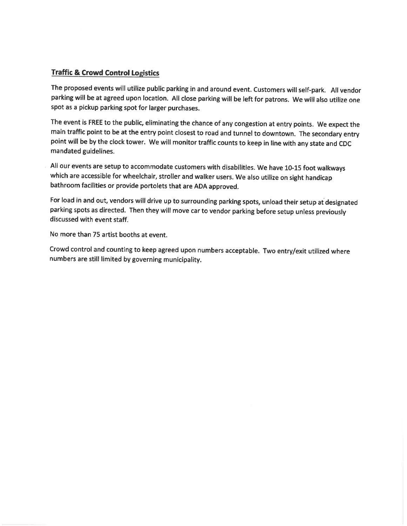#### **Traffic & Crowd Control Logistics**

The proposed events will utilize public parking in and around event. Customers will self-park. All vendor parking will be at agreed upon location. All close parking will be left for patrons. We will also utilize one spot as a pickup parking spot for larger purchases.

The event is FREE to the public, eliminating the chance of any congestion at entry points. We expect the main traffic point to be at the entry point closest to road and tunnel to downtown. The secondary entry point will be by the clock tower. We will monitor traffic counts to keep in line with any state and CDC mandated guidelines.

All our events are setup to accommodate customers with disabilities. We have 10-15 foot walkways which are accessible for wheelchair, stroller and walker users. We also utilize on sight handicap bathroom facilities or provide portolets that are ADA approved.

For load in and out, vendors will drive up to surrounding parking spots, unload their setup at designated parking spots as directed. Then they will move car to vendor parking before setup unless previously discussed with event staff.

No more than 75 artist booths at event.

Crowd control and counting to keep agreed upon numbers acceptable. Two entry/exit utilized where numbers are still limited by governing municipality.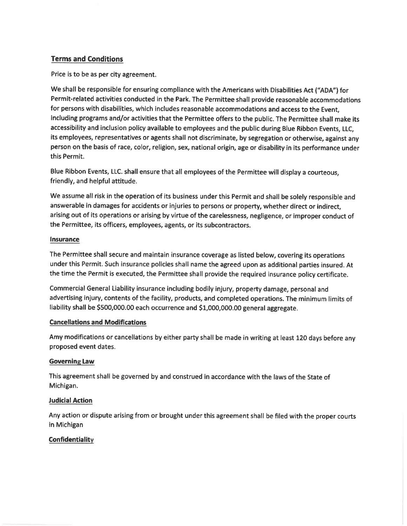#### **Terms and Conditions**

Price is to be as per city agreement.

We shall be responsible for ensuring compliance with the Americans with Disabilities Act ("ADA") for Permit-related activities conducted in the Park. The Permittee shall provide reasonable accommodations for persons with disabilities, which includes reasonable accommodations and access to the Event, including programs and/or activities that the Permittee offers to the public. The Permittee shall make its accessibility and inclusion policy available to employees and the public during Blue Ribbon Events, LLC, its employees, representatives or agents shall not discriminate, by segregation or otherwise, against any person on the basis of race, color, religion, sex, national origin, age or disability in its performance under this Permit.

Blue Ribbon Events, LLC. shall ensure that all employees of the Permittee will display a courteous, friendly, and helpful attitude.

We assume all risk in the operation of its business under this Permit and shall be solely responsible and answerable in damages for accidents or injuries to persons or property, whether direct or indirect, arising out of its operations or arising by virtue of the carelessness, negligence, or improper conduct of the Permittee, its officers, employees, agents, or its subcontractors.

#### **Insurance**

The Permittee shall secure and maintain insurance coverage as listed below, covering its operations under this Permit. Such insurance policies shall name the agreed upon as additional parties insured. At the time the Permit is executed, the Permittee shall provide the required insurance policy certificate.

Commercial General Liability insurance including bodily injury, property damage, personal and advertising injury, contents of the facility, products, and completed operations. The minimum limits of liability shall be \$500,000.00 each occurrence and \$1,000,000.00 general aggregate.

#### **Cancellations and Modifications**

Amy modifications or cancellations by either party shall be made in writing at least 120 days before any proposed event dates.

#### **Governing Law**

This agreement shall be governed by and construed in accordance with the laws of the State of Michigan.

#### **Judicial Action**

Any action or dispute arising from or brought under this agreement shall be filed with the proper courts in Michigan

#### **Confidentiality**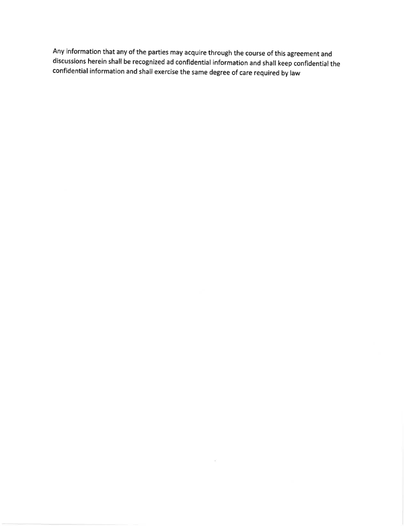Any information that any of the parties may acquire through the course of this agreement and discussions herein shall be recognized ad confidential information and shall keep confidential the confidential information and shall exercise the same degree of care required by law

 $\mathbf{E}$  . The state  $\mathbf{E}$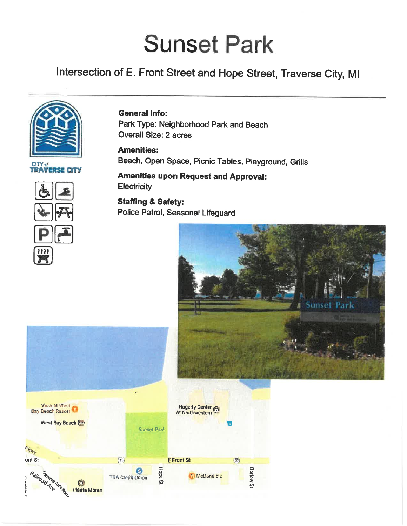# **Sunset Park**

# Intersection of E. Front Street and Hope Street, Traverse City, MI



#### **General Info:**

Park Type: Neighborhood Park and Beach **Overall Size: 2 acres** 

**Amenities:** Beach, Open Space, Picnic Tables, Playground, Grills

**Amenities upon Request and Approval:** Electricity

**Staffing & Safety:** Police Patrol, Seasonal Lifeguard